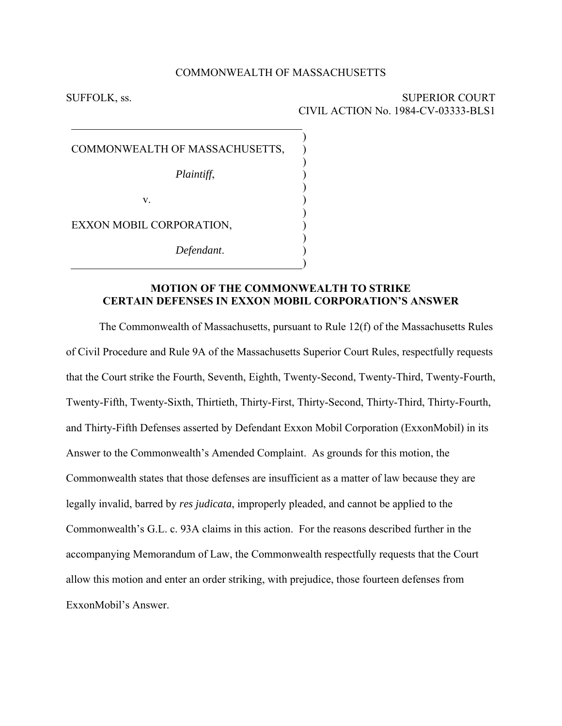#### COMMONWEALTH OF MASSACHUSETTS

) ) ) ) ) ) ) ) ) ) )

SUFFOLK, ss. SUPERIOR COURT CIVIL ACTION No. 1984-CV-03333-BLS1

COMMONWEALTH OF MASSACHUSETTS,

*Plaintiff*,

v.

EXXON MOBIL CORPORATION,

*Defendant*.

## **MOTION OF THE COMMONWEALTH TO STRIKE CERTAIN DEFENSES IN EXXON MOBIL CORPORATION'S ANSWER**

The Commonwealth of Massachusetts, pursuant to Rule 12(f) of the Massachusetts Rules of Civil Procedure and Rule 9A of the Massachusetts Superior Court Rules, respectfully requests that the Court strike the Fourth, Seventh, Eighth, Twenty-Second, Twenty-Third, Twenty-Fourth, Twenty-Fifth, Twenty-Sixth, Thirtieth, Thirty-First, Thirty-Second, Thirty-Third, Thirty-Fourth, and Thirty-Fifth Defenses asserted by Defendant Exxon Mobil Corporation (ExxonMobil) in its Answer to the Commonwealth's Amended Complaint. As grounds for this motion, the Commonwealth states that those defenses are insufficient as a matter of law because they are legally invalid, barred by *res judicata*, improperly pleaded, and cannot be applied to the Commonwealth's G.L. c. 93A claims in this action. For the reasons described further in the accompanying Memorandum of Law, the Commonwealth respectfully requests that the Court allow this motion and enter an order striking, with prejudice, those fourteen defenses from ExxonMobil's Answer.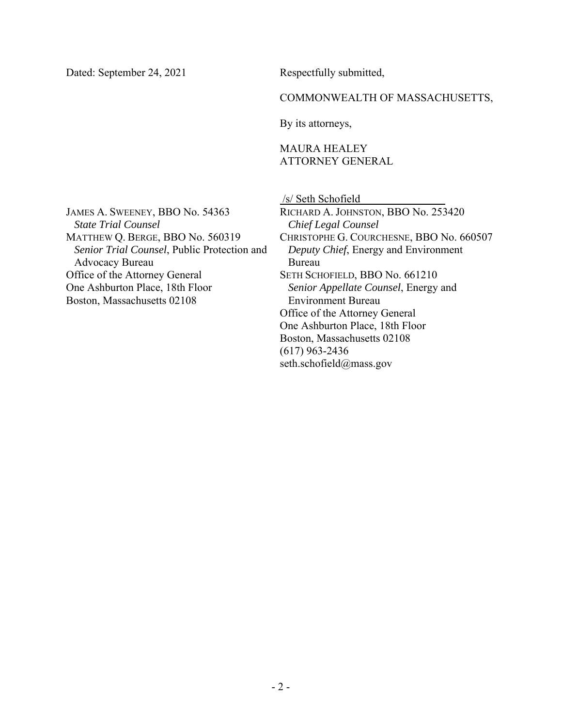Dated: September 24, 2021

Respectfully submitted,

### COMMONWEALTH OF MASSACHUSETTS,

By its attorneys,

# MAURA HEALEY ATTORNEY GENERAL

JAMES A. SWEENEY, BBO No. 54363 *State Trial Counsel*  MATTHEW Q. BERGE, BBO No. 560319 *Senior Trial Counsel*, Public Protection and Advocacy Bureau Office of the Attorney General One Ashburton Place, 18th Floor Boston, Massachusetts 02108

 /s/ Seth Schofield RICHARD A. JOHNSTON, BBO No. 253420 *Chief Legal Counsel*  CHRISTOPHE G. COURCHESNE, BBO No. 660507 *Deputy Chief*, Energy and Environment Bureau SETH SCHOFIELD, BBO No. 661210 *Senior Appellate Counsel*, Energy and Environment Bureau Office of the Attorney General One Ashburton Place, 18th Floor Boston, Massachusetts 02108 (617) 963-2436 seth.schofield@mass.gov